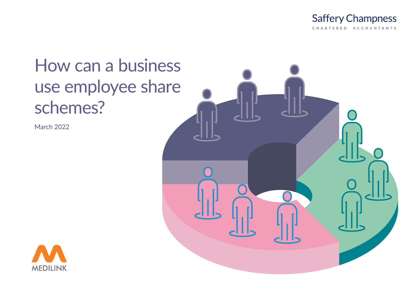

# How can a business use employee share schemes?

March 2022



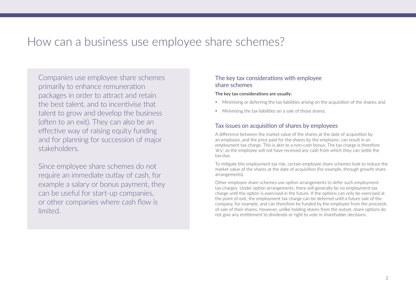# How can a business use employee share schemes?

Companies use employee share schemes primarily to enhance remuneration packages in order to attract and retain the best talent, and to incentivise that talent to grow and develop the business (often to an exit). They can also be an effective way of raising equity funding and for planning for succession of major stakeholders.

Since employee share schemes do not require an immediate outlay of cash, for example a salary or bonus payment, they can be useful for start-up companies, or other companies where cash flow is limited.

### The key tax considerations with employee share schemes

The key tax considerations are usually:

- Minimising or deferring the tax liabilities arising on the acquisition of the shares; and
- Minimising the tax liabilities on a sale of those shares.

# Tax issues on acquisition of shares by employees

A difference between the market value of the shares at the date of acquisition by an employee, and the price paid for the shares by the employee, can result in an employment tax charge. This is akin to a non-cash bonus. The tax charge is therefore 'dry', as the employee will not have received any cash from which they can settle the tax due.

To mitigate this employment tax risk, certain employee share schemes look to reduce the market value of the shares at the date of acquisition (for example, through growth share arrangements).

Other employee share schemes use option arrangements to defer such employment tax charges. Under option arrangements, there will generally be no employment tax charge until the option is exercised in the future. If the options can only be exercised at the point of exit, the employment tax charge can be deferred until a future sale of the company, for example, and can therefore be funded by the employee from the proceeds of sale of their shares. However, unlike holding shares from the outset, share options do not give any entitlement to dividends or right to vote in shareholder decisions.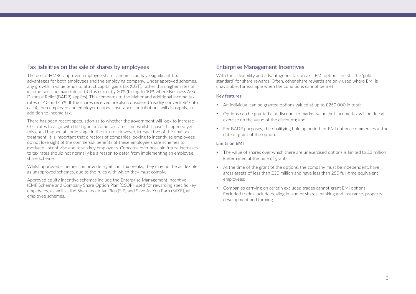### Tax liabilities on the sale of shares by employees

The use of HMRC approved employee share schemes can have significant tax advantages for both employees and the employing company. Under approved schemes, any growth in value tends to attract capital gains tax (CGT), rather than higher rates of income tax. The main rate of CGT is currently 20% (falling to 10% where Business Asset Disposal Relief (BADR) applies). This compares to the higher and additional income tax rates of 40 and 45%. If the shares received are also considered 'readily convertible' (into cash), then employee and employer national insurance contributions will also apply, in addition to income tax.

There has been recent speculation as to whether the government will look to increase CGT rates to align with the higher income tax rates, and whilst it hasn't happened yet, this could happen at some stage in the future. However, irrespective of the final tax treatment, it is important that directors of companies looking to incentivise employees do not lose sight of the commercial benefits of these employee share schemes to motivate, incentivise and retain key employees. Concerns over possible future increases to tax rates should not normally be a reason to deter from implementing an employee share scheme.

Whilst approved schemes can provide significant tax breaks, they may not be as flexible as unapproved schemes, due to the rules with which they must comply.

Approved equity incentive schemes include the Enterprise Management Incentive (EMI) Scheme and Company Share Option Plan (CSOP), used for rewarding specific key employees, as well as the Share Incentive Plan (SIP) and Save As You Earn (SAYE), allemployee schemes.

#### Enterprise Management Incentives

With their flexibility and advantageous tax breaks, EMI options are still the 'gold standard' for share rewards. Often, other share rewards are only used where EMI is unavailable, for example when the conditions cannot be met.

#### **Key features**

- An individual can be granted options valued at up to £250,000 in total;
- Options can be granted at a discount to market value (but income tax will be due at exercise on the value of the discount); and
- For BADR purposes, the qualifying holding period for EMI options commences at the date of grant of the option.

#### **Limits on EMI**

- $\bullet$  The value of shares over which there are unexercised options is limited to  $f3$  million (determined at the time of grant);
- At the time of the grant of the options, the company must be independent, have gross assets of less than £30 million and have less than 250 full-time equivalent employees;
- y Companies carrying on certain excluded trades cannot grant EMI options. Excluded trades include dealing in land or shares, banking and insurance, property development and farming.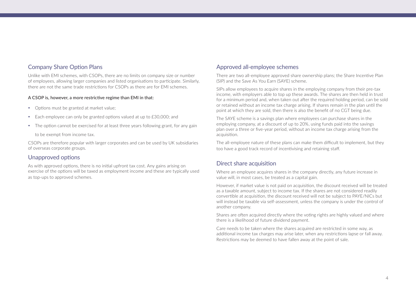#### Company Share Option Plans

Unlike with EMI schemes, with CSOPs, there are no limits on company size or number of employees, allowing larger companies and listed organisations to participate. Similarly, there are not the same trade restrictions for CSOPs as there are for EMI schemes.

#### A CSOP is, however, a more restrictive regime than EMI in that:

- Options must be granted at market value;
- $\bullet$  Each employee can only be granted options valued at up to  $f30,000$ ; and
- The option cannot be exercised for at least three years following grant, for any gain

to be exempt from income tax.

CSOPs are therefore popular with larger corporates and can be used by UK subsidiaries of overseas corporate groups.

#### Unapproved options

As with approved options, there is no initial upfront tax cost. Any gains arising on exercise of the options will be taxed as employment income and these are typically used as top-ups to approved schemes.

#### Approved all-employee schemes

There are two all-employee approved share ownership plans; the Share Incentive Plan (SIP) and the Save As You Earn (SAYE) scheme.

SIPs allow employees to acquire shares in the employing company from their pre-tax income, with employers able to top up these awards. The shares are then held in trust for a minimum period and, when taken out after the required holding period, can be sold or retained without an income tax charge arising. If shares remain in the plan until the point at which they are sold, then there is also the benefit of no CGT being due.

The SAYE scheme is a savings plan where employees can purchase shares in the employing company, at a discount of up to 20%, using funds paid into the savings plan over a three or five-year period, without an income tax charge arising from the acquisition.

The all-employee nature of these plans can make them difficult to implement, but they too have a good track record of incentivising and retaining staff.

### Direct share acquisition

Where an employee acquires shares in the company directly, any future increase in value will, in most cases, be treated as a capital gain.

However, if market value is not paid on acquisition, the discount received will be treated as a taxable amount, subject to income tax. If the shares are not considered readily convertible at acquisition, the discount received will not be subject to PAYE/NICs but will instead be taxable via self-assessment, unless the company is under the control of another company.

Shares are often acquired directly where the voting rights are highly valued and where there is a likelihood of future dividend payment.

Care needs to be taken where the shares acquired are restricted in some way, as additional income tax charges may arise later, when any restrictions lapse or fall away. Restrictions may be deemed to have fallen away at the point of sale.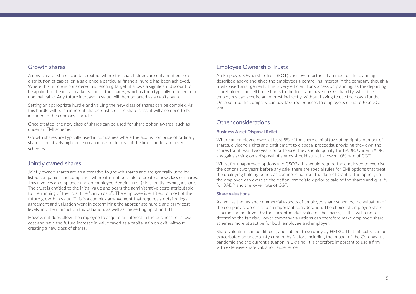#### Growth shares

A new class of shares can be created, where the shareholders are only entitled to a distribution of capital on a sale once a particular financial hurdle has been achieved. Where this hurdle is considered a stretching target, it allows a significant discount to be applied to the initial market value of the shares, which is then typically reduced to a nominal value. Any future increase in value will then be taxed as a capital gain.

Setting an appropriate hurdle and valuing the new class of shares can be complex. As this hurdle will be an inherent characteristic of the share class, it will also need to be included in the company's articles.

Once created, the new class of shares can be used for share option awards, such as under an EMI scheme.

Growth shares are typically used in companies where the acquisition price of ordinary shares is relatively high, and so can make better use of the limits under approved schemes.

### Jointly owned shares

Jointly owned shares are an alternative to growth shares and are generally used by listed companies and companies where it is not possible to create a new class of shares. This involves an employee and an Employee Benefit Trust (EBT) jointly owning a share. The trust is entitled to the initial value and bears the administrative costs attributable to the running of the trust (the 'carry costs'). The employee is entitled to most of the future growth in value. This is a complex arrangement that requires a detailed legal agreement and valuation work in determining the appropriate hurdle and carry cost levels and their impact on tax valuation, as well as the setting up of an EBT.

However, it does allow the employee to acquire an interest in the business for a low cost and have the future increase in value taxed as a capital gain on exit, without creating a new class of shares.

# Employee Ownership Trusts

An Employee Ownership Trust (EOT) goes even further than most of the planning described above and gives the employees a controlling interest in the company though a trust-based arrangement. This is very efficient for succession planning, as the departing shareholders can sell their shares to the trust and have no CGT liability, while the employees can acquire an interest indirectly, without having to use their own funds. Once set up, the company can pay tax-free bonuses to employees of up to £3,600 a year.

#### Other considerations

#### **Business Asset Disposal Relief**

Where an employee owns at least 5% of the share capital (by voting rights, number of shares, dividend rights and entitlement to disposal proceeds), providing they own the shares for at least two years prior to sale, they should qualify for BADR. Under BADR, any gains arising on a disposal of shares should attract a lower 10% rate of CGT.

Whilst for unapproved options and CSOPs this would require the employee to exercise the options two years before any sale, there are special rules for EMI options that treat the qualifying holding period as commencing from the date of grant of the option, so the employee can exercise the option immediately prior to sale of the shares and qualify for BADR and the lower rate of CGT.

#### **Share valuations**

As well as the tax and commercial aspects of employee share schemes, the valuation of the company shares is also an important consideration. The choice of employee share scheme can be driven by the current market value of the shares, as this will tend to determine the tax risk. Lower company valuations can therefore make employee share schemes more attractive for both employee and employer.

Share valuation can be difficult, and subject to scrutiny by HMRC. That difficulty can be exacerbated by uncertainty created by factors including the impact of the Coronavirus pandemic and the current situation in Ukraine. It is therefore important to use a firm with extensive share valuation experience.